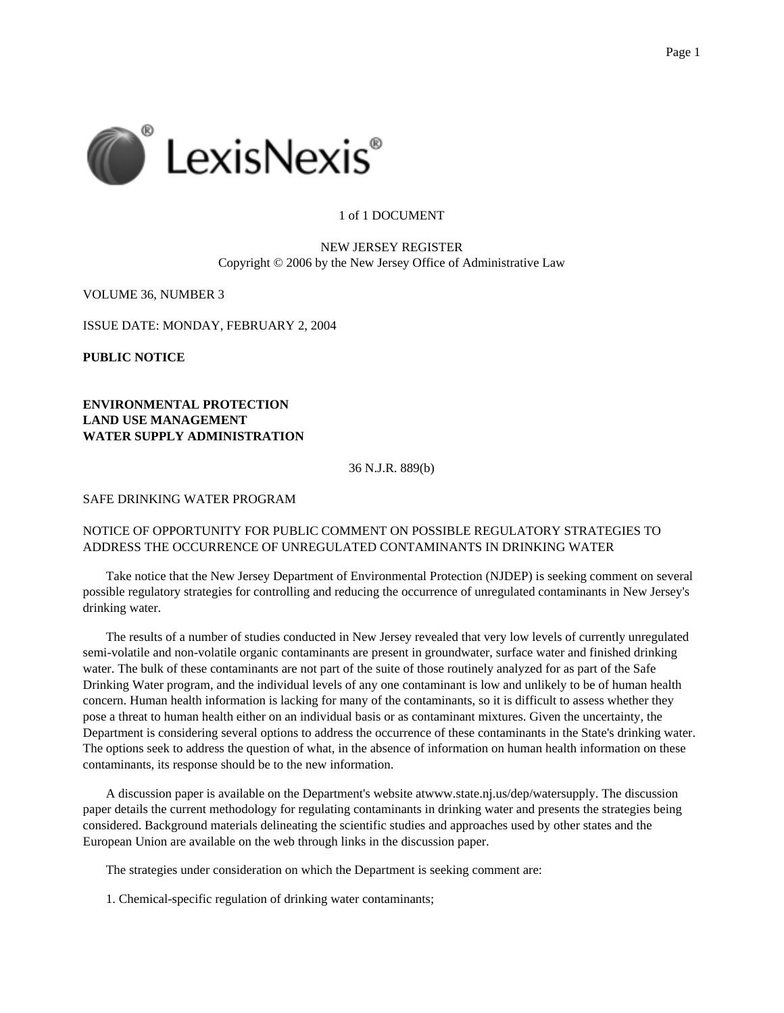

## 1 of 1 DOCUMENT

## NEW JERSEY REGISTER Copyright © 2006 by the New Jersey Office of Administrative Law

VOLUME 36, NUMBER 3

ISSUE DATE: MONDAY, FEBRUARY 2, 2004

**PUBLIC NOTICE**

**ENVIRONMENTAL PROTECTION LAND USE MANAGEMENT WATER SUPPLY ADMINISTRATION**

36 N.J.R. 889(b)

SAFE DRINKING WATER PROGRAM

## NOTICE OF OPPORTUNITY FOR PUBLIC COMMENT ON POSSIBLE REGULATORY STRATEGIES TO ADDRESS THE OCCURRENCE OF UNREGULATED CONTAMINANTS IN DRINKING WATER

Take notice that the New Jersey Department of Environmental Protection (NJDEP) is seeking comment on several possible regulatory strategies for controlling and reducing the occurrence of unregulated contaminants in New Jersey's drinking water.

The results of a number of studies conducted in New Jersey revealed that very low levels of currently unregulated semi-volatile and non-volatile organic contaminants are present in groundwater, surface water and finished drinking water. The bulk of these contaminants are not part of the suite of those routinely analyzed for as part of the Safe Drinking Water program, and the individual levels of any one contaminant is low and unlikely to be of human health concern. Human health information is lacking for many of the contaminants, so it is difficult to assess whether they pose a threat to human health either on an individual basis or as contaminant mixtures. Given the uncertainty, the Department is considering several options to address the occurrence of these contaminants in the State's drinking water. The options seek to address the question of what, in the absence of information on human health information on these contaminants, its response should be to the new information.

A discussion paper is available on the Department's website atwww.state.nj.us/dep/watersupply. The discussion paper details the current methodology for regulating contaminants in drinking water and presents the strategies being considered. Background materials delineating the scientific studies and approaches used by other states and the European Union are available on the web through links in the discussion paper.

The strategies under consideration on which the Department is seeking comment are:

1. Chemical-specific regulation of drinking water contaminants;